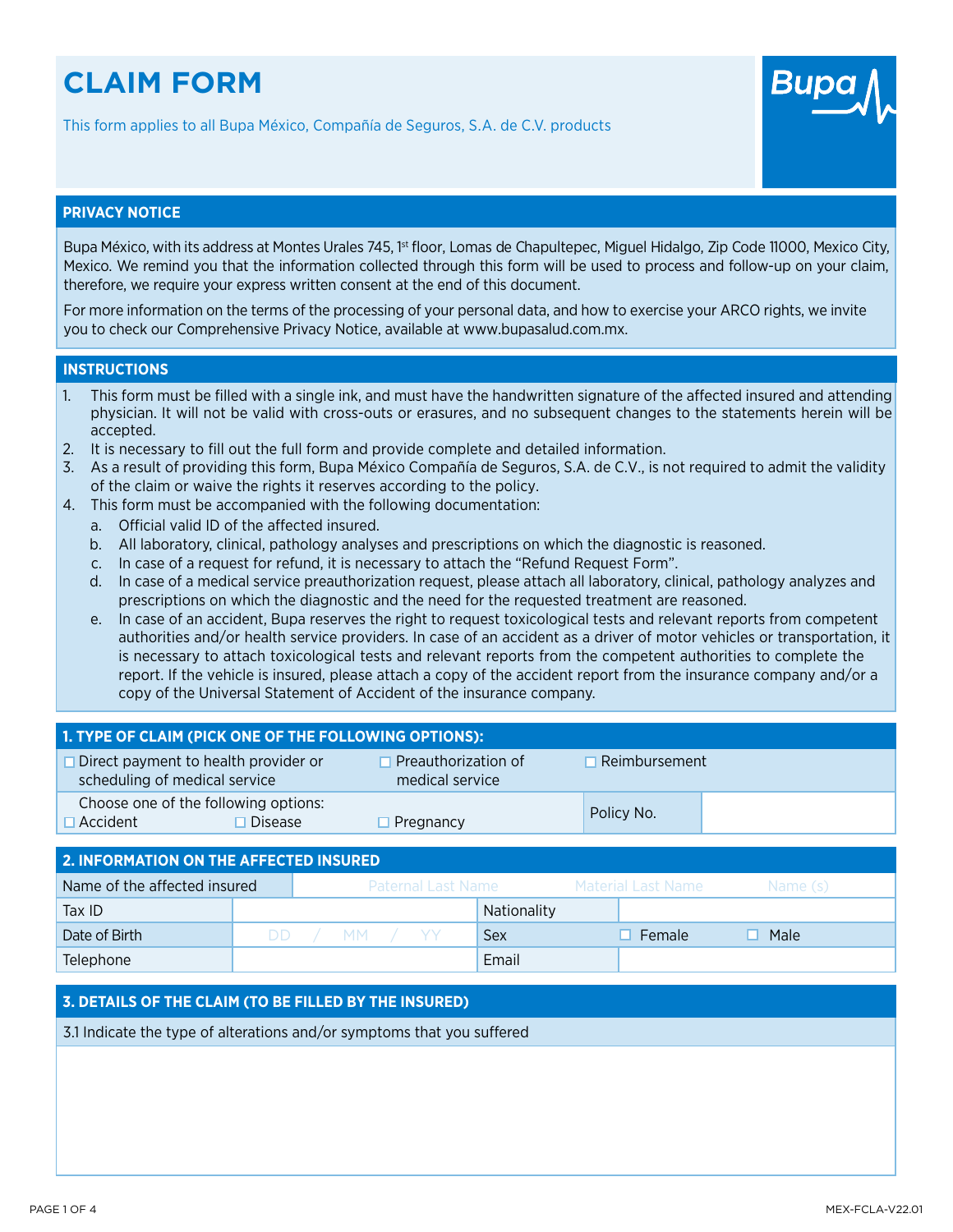# **CLAIM FORM**

This form applies to all Bupa México, Compañía de Seguros, S.A. de C.V. products



## **PRIVACY NOTICE**

Bupa México, with its address at Montes Urales 745, <sup>1st</sup> floor, Lomas de Chapultepec, Miguel Hidalgo, Zip Code 11000, Mexico City, Mexico. We remind you that the information collected through this form will be used to process and follow-up on your claim, therefore, we require your express written consent at the end of this document.

For more information on the terms of the processing of your personal data, and how to exercise your ARCO rights, we invite you to check our Comprehensive Privacy Notice, available at www.bupasalud.com.mx.

#### **INSTRUCTIONS**

- 1. This form must be filled with a single ink, and must have the handwritten signature of the affected insured and attending physician. It will not be valid with cross-outs or erasures, and no subsequent changes to the statements herein will be accepted.
- 2. It is necessary to fill out the full form and provide complete and detailed information.
- 3. As a result of providing this form, Bupa México Compañía de Seguros, S.A. de C.V., is not required to admit the validity of the claim or waive the rights it reserves according to the policy.
- 4. This form must be accompanied with the following documentation:
	- a. Official valid ID of the affected insured.
	- b. All laboratory, clinical, pathology analyses and prescriptions on which the diagnostic is reasoned.
	- c. In case of a request for refund, it is necessary to attach the "Refund Request Form".
	- d. In case of a medical service preauthorization request, please attach all laboratory, clinical, pathology analyzes and prescriptions on which the diagnostic and the need for the requested treatment are reasoned.
	- e. In case of an accident, Bupa reserves the right to request toxicological tests and relevant reports from competent authorities and/or health service providers. In case of an accident as a driver of motor vehicles or transportation, it is necessary to attach toxicological tests and relevant reports from the competent authorities to complete the report. If the vehicle is insured, please attach a copy of the accident report from the insurance company and/or a copy of the Universal Statement of Accident of the insurance company.

| 1. TYPE OF CLAIM (PICK ONE OF THE FOLLOWING OPTIONS):                        |                                        |                      |  |  |  |  |
|------------------------------------------------------------------------------|----------------------------------------|----------------------|--|--|--|--|
| $\Box$ Direct payment to health provider or<br>scheduling of medical service | Preauthorization of<br>medical service | $\Box$ Reimbursement |  |  |  |  |
| Choose one of the following options:<br>$\Box$ Accident<br>$\Box$ Disease    | $\Box$ Pregnancy                       | Policy No.           |  |  |  |  |
| <b>2 INFODMATION ON THE AFFECTED INSILDED</b>                                |                                        |                      |  |  |  |  |

| Name of the affected insured |  |  |              |  | Paternal Last Name |             |  | Material Last Name | Name (s) |  |
|------------------------------|--|--|--------------|--|--------------------|-------------|--|--------------------|----------|--|
| Tax ID                       |  |  |              |  |                    | Nationality |  |                    |          |  |
| Date of Birth                |  |  | DD / MM / YY |  |                    | Sex         |  | Female             | Male     |  |
| Telephone                    |  |  |              |  |                    | Email       |  |                    |          |  |

## **3. DETAILS OF THE CLAIM (TO BE FILLED BY THE INSURED)**

3.1 Indicate the type of alterations and/or symptoms that you suffered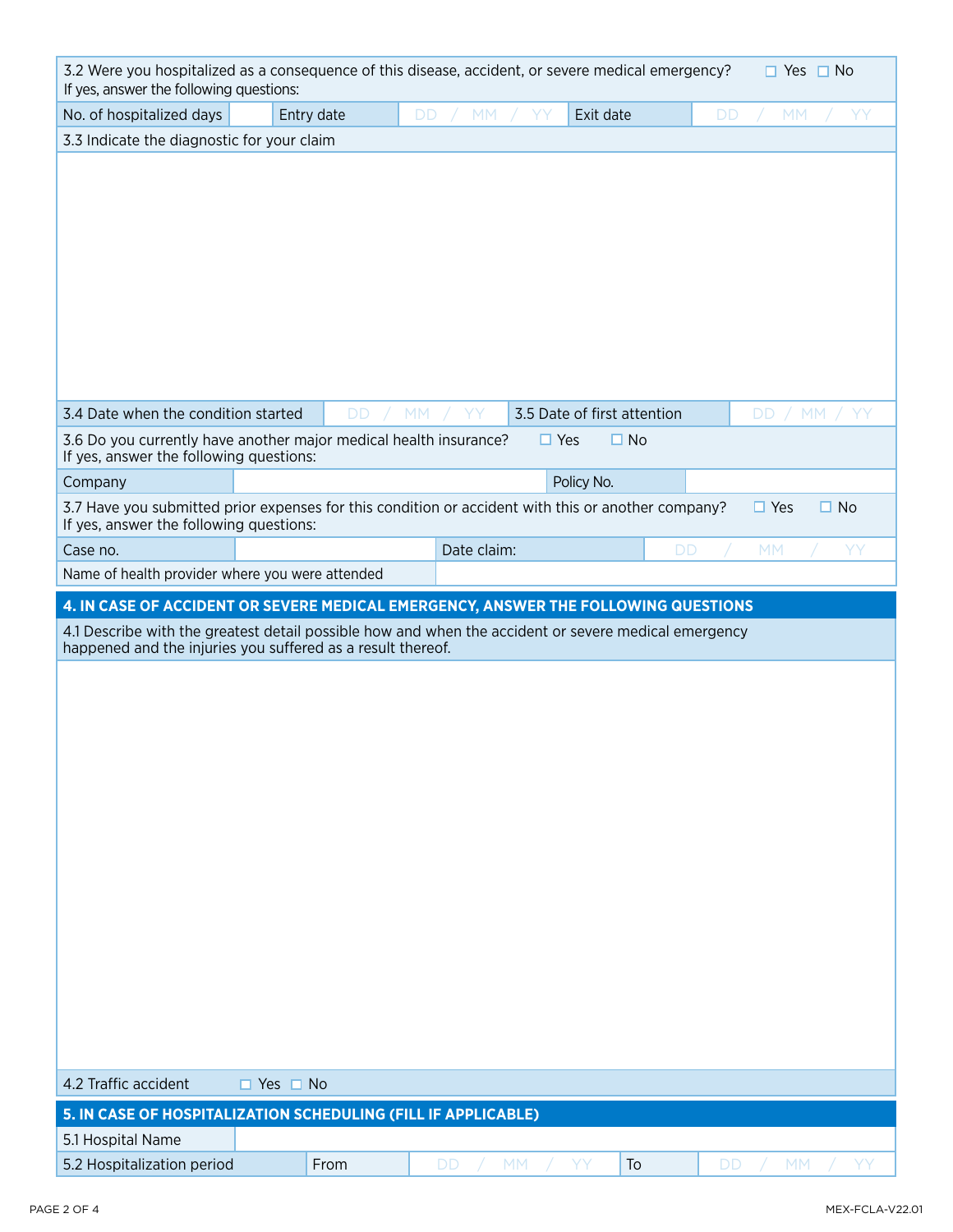| 3.2 Were you hospitalized as a consequence of this disease, accident, or severe medical emergency?<br>$\Box$ Yes $\Box$ No<br>If yes, answer the following questions: |                                                                                                                                                                                                                                                           |                 |             |            |                             |                              |
|-----------------------------------------------------------------------------------------------------------------------------------------------------------------------|-----------------------------------------------------------------------------------------------------------------------------------------------------------------------------------------------------------------------------------------------------------|-----------------|-------------|------------|-----------------------------|------------------------------|
| No. of hospitalized days                                                                                                                                              | Entry date                                                                                                                                                                                                                                                | <b>DD</b>       | <b>MM</b>   | YΥ         | Exit date                   | <b>DD</b><br><b>MM</b><br>YY |
| 3.3 Indicate the diagnostic for your claim                                                                                                                            |                                                                                                                                                                                                                                                           |                 |             |            |                             |                              |
|                                                                                                                                                                       |                                                                                                                                                                                                                                                           |                 |             |            |                             |                              |
| 3.4 Date when the condition started                                                                                                                                   |                                                                                                                                                                                                                                                           | DD<br><b>MM</b> | YY          |            | 3.5 Date of first attention | / MM $/$<br>DD               |
| 3.6 Do you currently have another major medical health insurance?<br>If yes, answer the following questions:                                                          |                                                                                                                                                                                                                                                           |                 |             | $\Box$ Yes | $\Box$ No                   |                              |
| Company                                                                                                                                                               |                                                                                                                                                                                                                                                           |                 |             |            | Policy No.                  |                              |
| 3.7 Have you submitted prior expenses for this condition or accident with this or another company?<br>If yes, answer the following questions:                         |                                                                                                                                                                                                                                                           |                 |             |            |                             | $\Box$ Yes<br>$\square$ No   |
| Case no.                                                                                                                                                              |                                                                                                                                                                                                                                                           |                 | Date claim: |            | <b>DD</b>                   | <b>MM</b><br>YY              |
| Name of health provider where you were attended                                                                                                                       |                                                                                                                                                                                                                                                           |                 |             |            |                             |                              |
|                                                                                                                                                                       |                                                                                                                                                                                                                                                           |                 |             |            |                             |                              |
|                                                                                                                                                                       | 4. IN CASE OF ACCIDENT OR SEVERE MEDICAL EMERGENCY, ANSWER THE FOLLOWING QUESTIONS<br>4.1 Describe with the greatest detail possible how and when the accident or severe medical emergency<br>happened and the injuries you suffered as a result thereof. |                 |             |            |                             |                              |
|                                                                                                                                                                       |                                                                                                                                                                                                                                                           |                 |             |            |                             |                              |
|                                                                                                                                                                       |                                                                                                                                                                                                                                                           |                 |             |            |                             |                              |
| 4.2 Traffic accident                                                                                                                                                  | $\Box$ Yes $\Box$ No                                                                                                                                                                                                                                      |                 |             |            |                             |                              |
| 5. IN CASE OF HOSPITALIZATION SCHEDULING (FILL IF APPLICABLE)<br>5.1 Hospital Name                                                                                    |                                                                                                                                                                                                                                                           |                 |             |            |                             |                              |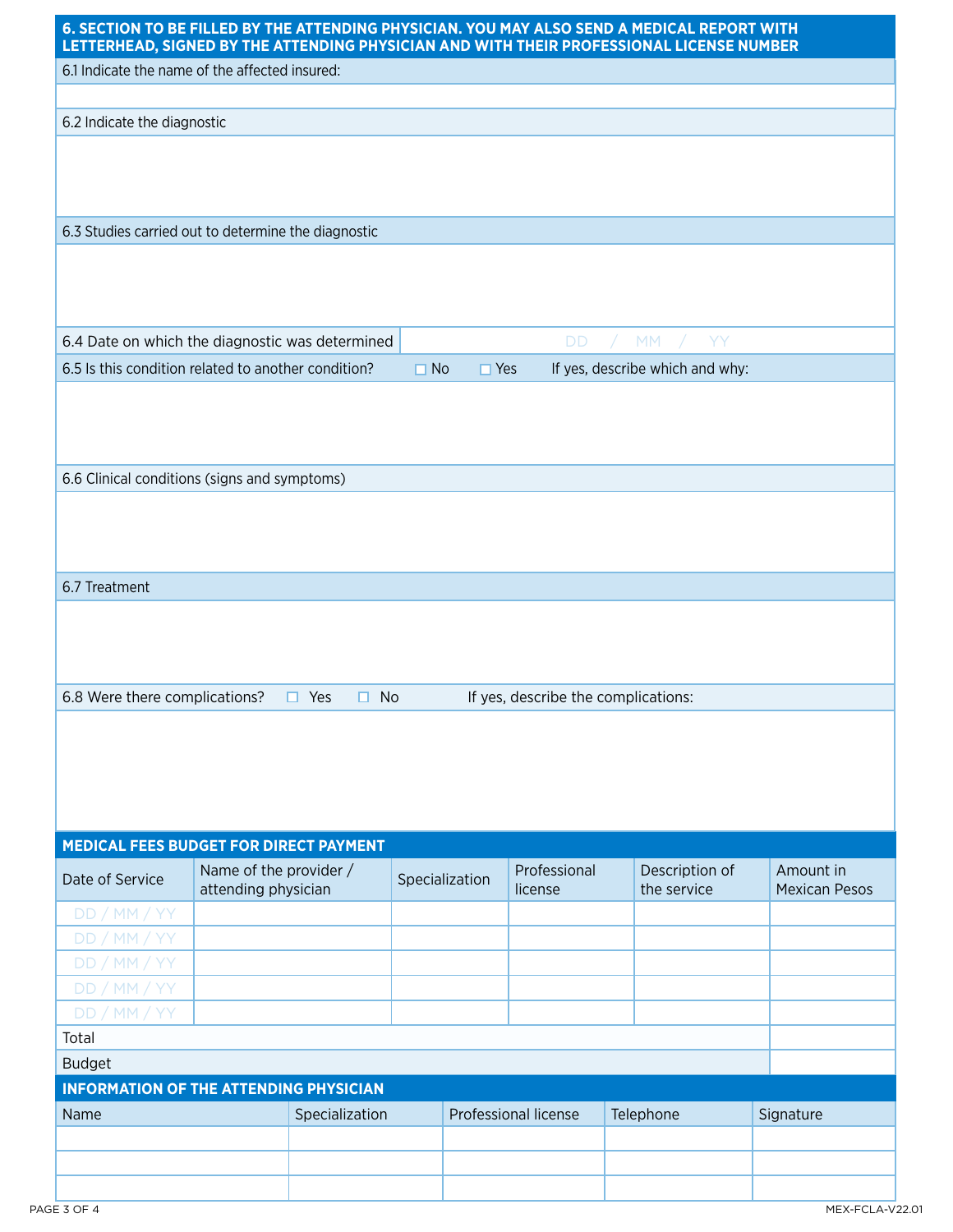|                                                                                                     | 6.1 Indicate the name of the affected insured:      |              |                |                         |                         |                                     |                                   |
|-----------------------------------------------------------------------------------------------------|-----------------------------------------------------|--------------|----------------|-------------------------|-------------------------|-------------------------------------|-----------------------------------|
| 6.2 Indicate the diagnostic                                                                         |                                                     |              |                |                         |                         |                                     |                                   |
|                                                                                                     |                                                     |              |                |                         |                         |                                     |                                   |
|                                                                                                     |                                                     |              |                |                         |                         |                                     |                                   |
|                                                                                                     | 6.3 Studies carried out to determine the diagnostic |              |                |                         |                         |                                     |                                   |
|                                                                                                     |                                                     |              |                |                         |                         |                                     |                                   |
|                                                                                                     | 6.4 Date on which the diagnostic was determined     |              |                |                         | <b>DD</b><br>$\sqrt{2}$ | MM / YY                             |                                   |
|                                                                                                     | 6.5 Is this condition related to another condition? |              | $\Box$ No      | $\Box$ Yes              |                         | If yes, describe which and why:     |                                   |
|                                                                                                     |                                                     |              |                |                         |                         |                                     |                                   |
|                                                                                                     | 6.6 Clinical conditions (signs and symptoms)        |              |                |                         |                         |                                     |                                   |
|                                                                                                     |                                                     |              |                |                         |                         |                                     |                                   |
|                                                                                                     |                                                     |              |                |                         |                         |                                     |                                   |
|                                                                                                     |                                                     |              |                |                         |                         |                                     |                                   |
|                                                                                                     |                                                     |              |                |                         |                         |                                     |                                   |
|                                                                                                     |                                                     |              |                |                         |                         |                                     |                                   |
|                                                                                                     |                                                     |              |                |                         |                         |                                     |                                   |
|                                                                                                     |                                                     |              |                |                         |                         |                                     |                                   |
|                                                                                                     |                                                     |              |                |                         |                         |                                     |                                   |
|                                                                                                     |                                                     |              |                |                         |                         |                                     |                                   |
|                                                                                                     | $\Box$ Yes                                          | $\square$ No |                |                         |                         | If yes, describe the complications: |                                   |
|                                                                                                     |                                                     |              |                |                         |                         |                                     |                                   |
|                                                                                                     |                                                     |              |                |                         |                         |                                     |                                   |
|                                                                                                     |                                                     |              |                |                         |                         |                                     |                                   |
|                                                                                                     |                                                     |              |                |                         |                         |                                     |                                   |
|                                                                                                     |                                                     |              |                |                         |                         |                                     |                                   |
|                                                                                                     | MEDICAL FEES BUDGET FOR DIRECT PAYMENT              |              |                |                         |                         |                                     |                                   |
|                                                                                                     | Name of the provider /<br>attending physician       |              | Specialization | Professional<br>license |                         | Description of<br>the service       | Amount in<br><b>Mexican Pesos</b> |
| DD/MM/YY                                                                                            |                                                     |              |                |                         |                         |                                     |                                   |
| DD / MM / YY                                                                                        |                                                     |              |                |                         |                         |                                     |                                   |
| DD/MM/YY                                                                                            |                                                     |              |                |                         |                         |                                     |                                   |
| DD/MM/YY                                                                                            |                                                     |              |                |                         |                         |                                     |                                   |
| DD / MM / YY                                                                                        |                                                     |              |                |                         |                         |                                     |                                   |
|                                                                                                     |                                                     |              |                |                         |                         |                                     |                                   |
|                                                                                                     |                                                     |              |                |                         |                         |                                     |                                   |
|                                                                                                     |                                                     |              |                |                         |                         |                                     |                                   |
|                                                                                                     | <b>INFORMATION OF THE ATTENDING PHYSICIAN</b>       |              |                |                         |                         |                                     |                                   |
| 6.7 Treatment<br>6.8 Were there complications?<br>Date of Service<br>Total<br><b>Budget</b><br>Name | Specialization                                      |              |                | Professional license    |                         | Telephone                           | Signature                         |